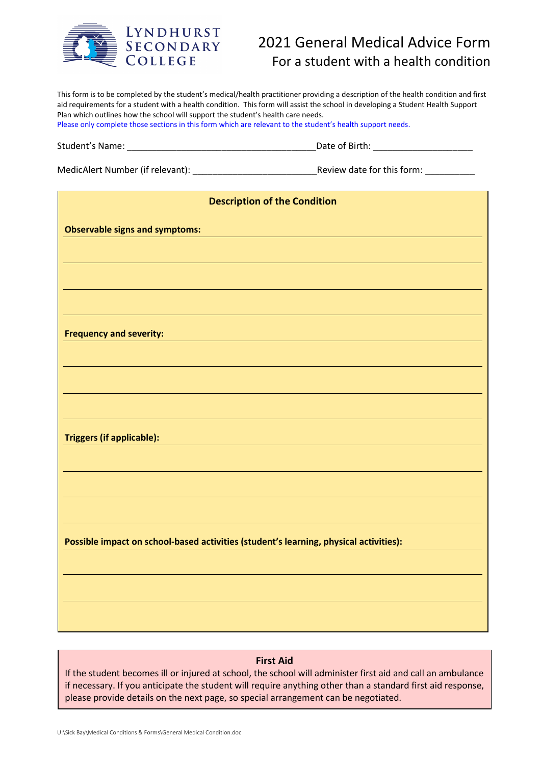

## 2021 General Medical Advice Form For a student with a health condition

| This form is to be completed by the student's medical/health practitioner providing a description of the health condition and first<br>aid requirements for a student with a health condition. This form will assist the school in developing a Student Health Support<br>Plan which outlines how the school will support the student's health care needs.<br>Please only complete those sections in this form which are relevant to the student's health support needs. |                                                                                                                     |
|--------------------------------------------------------------------------------------------------------------------------------------------------------------------------------------------------------------------------------------------------------------------------------------------------------------------------------------------------------------------------------------------------------------------------------------------------------------------------|---------------------------------------------------------------------------------------------------------------------|
|                                                                                                                                                                                                                                                                                                                                                                                                                                                                          |                                                                                                                     |
|                                                                                                                                                                                                                                                                                                                                                                                                                                                                          |                                                                                                                     |
| <b>Description of the Condition</b>                                                                                                                                                                                                                                                                                                                                                                                                                                      |                                                                                                                     |
| <b>Observable signs and symptoms:</b>                                                                                                                                                                                                                                                                                                                                                                                                                                    |                                                                                                                     |
|                                                                                                                                                                                                                                                                                                                                                                                                                                                                          |                                                                                                                     |
| <b>Frequency and severity:</b>                                                                                                                                                                                                                                                                                                                                                                                                                                           | <u> 1989 - Johann John Stone, markin film yn y brening yn y brening yn y brening yn y brening yn y brening yn y</u> |
|                                                                                                                                                                                                                                                                                                                                                                                                                                                                          |                                                                                                                     |
| <b>Triggers (if applicable):</b>                                                                                                                                                                                                                                                                                                                                                                                                                                         |                                                                                                                     |
|                                                                                                                                                                                                                                                                                                                                                                                                                                                                          |                                                                                                                     |
| Possible impact on school-based activities (student's learning, physical activities):                                                                                                                                                                                                                                                                                                                                                                                    |                                                                                                                     |
|                                                                                                                                                                                                                                                                                                                                                                                                                                                                          |                                                                                                                     |
|                                                                                                                                                                                                                                                                                                                                                                                                                                                                          |                                                                                                                     |
|                                                                                                                                                                                                                                                                                                                                                                                                                                                                          |                                                                                                                     |

## First Aid

If the student becomes ill or injured at school, the school will administer first aid and call an ambulance if necessary. If you anticipate the student will require anything other than a standard first aid response, please provide details on the next page, so special arrangement can be negotiated.